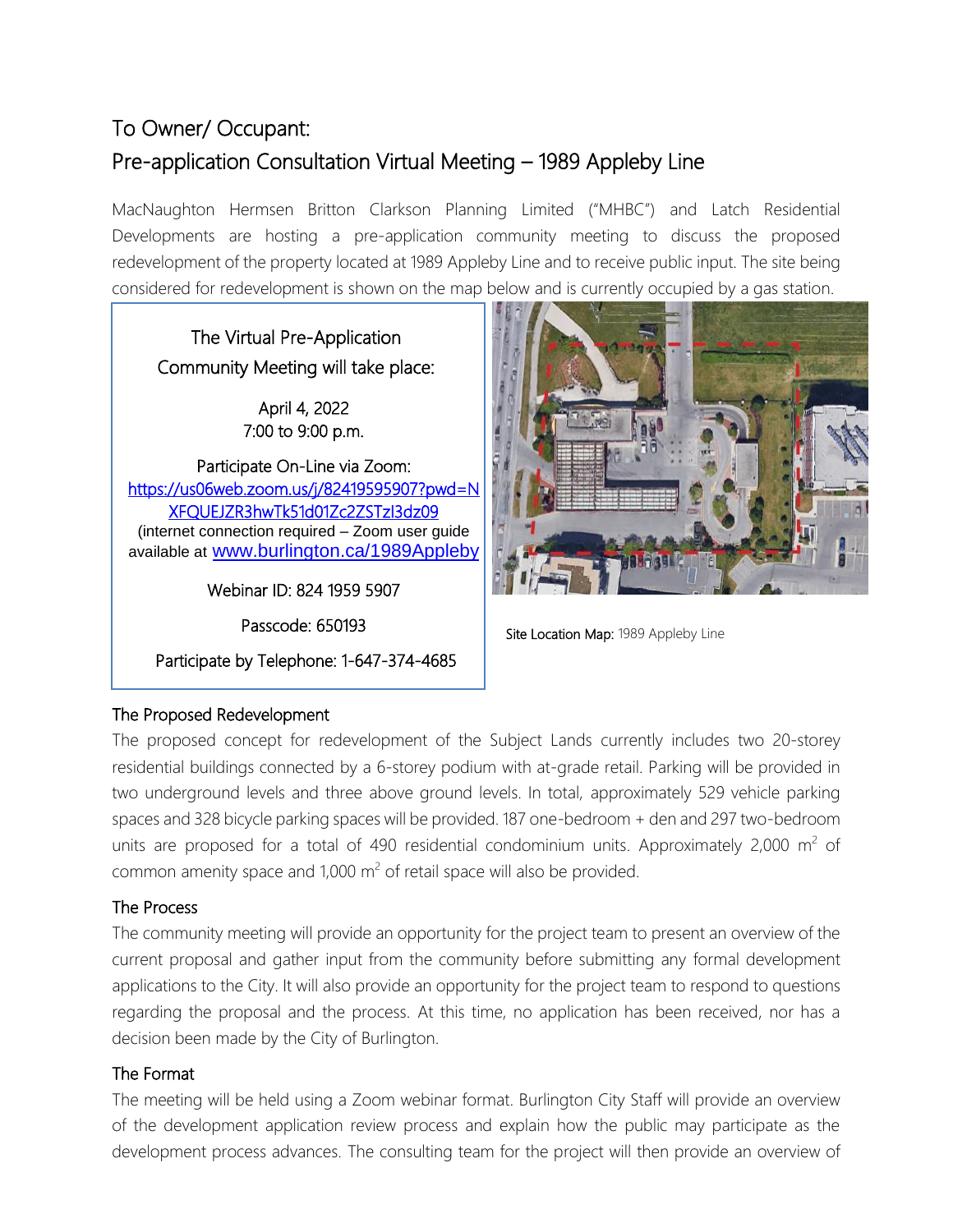## To Owner/ Occupant: Pre-application Consultation Virtual Meeting – 1989 Appleby Line

MacNaughton Hermsen Britton Clarkson Planning Limited ("MHBC") and Latch Residential Developments are hosting a pre-application community meeting to discuss the proposed redevelopment of the property located at 1989 Appleby Line and to receive public input. The site being considered for redevelopment is shown on the map below and is currently occupied by a gas station.

The Virtual Pre-Application Community Meeting will take place:

> April 4, 2022 7:00 to 9:00 p.m.

Participate On-Line via Zoom: [https://us06web.zoom.us/j/82419595907?pwd=N](https://us06web.zoom.us/j/82419595907?pwd=NXFQUEJZR3hwTk51d01Zc2ZSTzI3dz09) [XFQUEJZR3hwTk51d01Zc2ZSTzI3dz09](https://us06web.zoom.us/j/82419595907?pwd=NXFQUEJZR3hwTk51d01Zc2ZSTzI3dz09)  (internet connection required – Zoom user guide available at [www.burlington.ca/1989Appleby](http://www.burlington.ca/1989Appleby)

Webinar ID: 824 1959 5907

Passcode: 650193

 Participate by Telephone: 1-647-374-4685  $\overline{a}$ 



Site Location Map: 1989 Appleby Line

## The Proposed Redevelopment

The proposed concept for redevelopment of the Subject Lands currently includes two 20-storey residential buildings connected by a 6-storey podium with at-grade retail. Parking will be provided in two underground levels and three above ground levels. In total, approximately 529 vehicle parking spaces and 328 bicycle parking spaces will be provided. 187 one-bedroom + den and 297 two-bedroom units are proposed for a total of 490 residential condominium units. Approximately 2,000  $m^2$  of common amenity space and 1,000  $\text{m}^2$  of retail space will also be provided.

## The Process

I

I

I

I

I I

The community meeting will provide an opportunity for the project team to present an overview of the current proposal and gather input from the community before submitting any formal development applications to the City. It will also provide an opportunity for the project team to respond to questions regarding the proposal and the process. At this time, no application has been received, nor has a decision been made by the City of Burlington.

## The Format

The meeting will be held using a Zoom webinar format. Burlington City Staff will provide an overview of the development application review process and explain how the public may participate as the development process advances. The consulting team for the project will then provide an overview of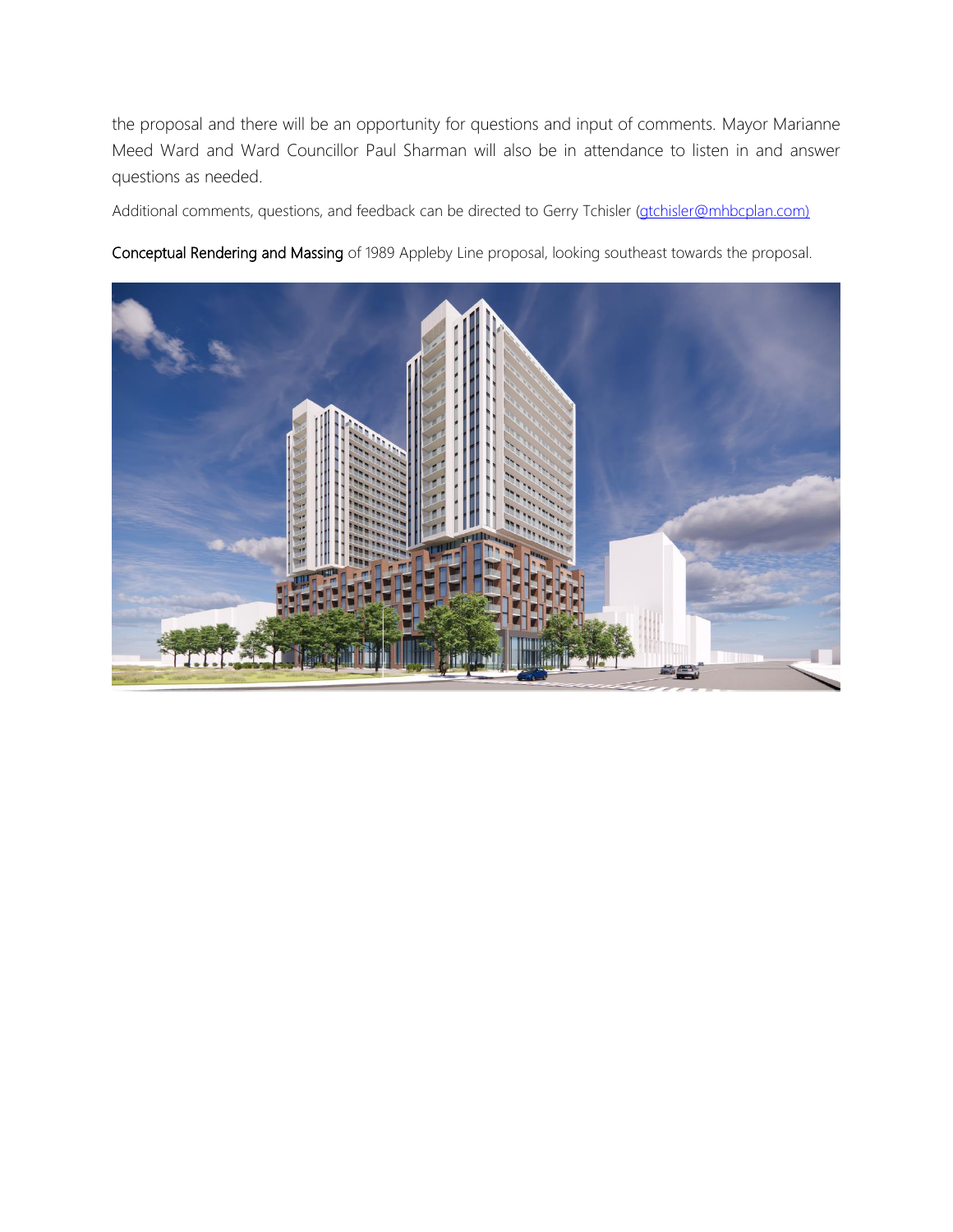the proposal and there will be an opportunity for questions and input of comments. Mayor Marianne Meed Ward and Ward Councillor Paul Sharman will also be in attendance to listen in and answer questions as needed.

Additional comments, questions, and feedback can be directed to Gerry Tchisler [\(gtchisler@mhbcplan.com\)](mailto:gtchisler@mhbcplan.com)

Conceptual Rendering and Massing of 1989 Appleby Line proposal, looking southeast towards the proposal.